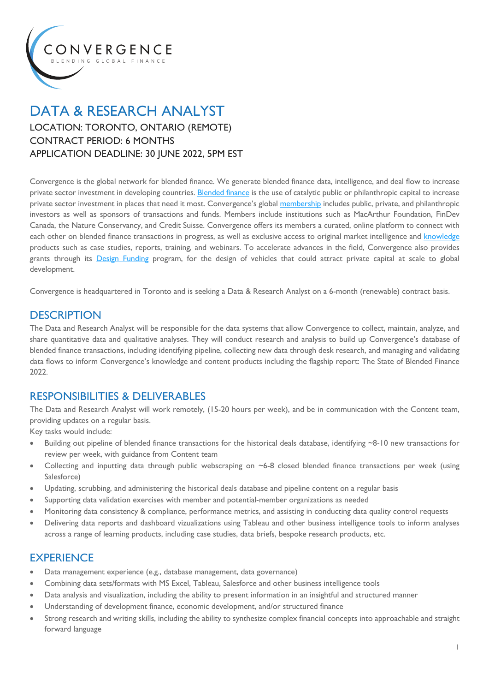

## DATA & RESEARCH ANALYST LOCATION: TORONTO, ONTARIO (REMOTE) CONTRACT PERIOD: 6 MONTHS APPLICATION DEADLINE: 30 JUNE 2022, 5PM EST

Convergence is the global network for blended finance. We generate blended finance data, intelligence, and deal flow to increase private sector investment in developing countries. Blended finance is the use of catalytic public or philanthropic capital to increase private sector investment in places that need it most. Convergence's global membership includes public, private, and philanthropic investors as well as sponsors of transactions and funds. Members include institutions such as MacArthur Foundation, FinDev Canada, the Nature Conservancy, and Credit Suisse. Convergence offers its members a curated, online platform to connect with each other on blended finance transactions in progress, as well as exclusive access to original market intelligence and knowledge products such as case studies, reports, training, and webinars. To accelerate advances in the field, Convergence also provides grants through its Design Funding program, for the design of vehicles that could attract private capital at scale to global development.

Convergence is headquartered in Toronto and is seeking a Data & Research Analyst on a 6-month (renewable) contract basis.

### **DESCRIPTION**

The Data and Research Analyst will be responsible for the data systems that allow Convergence to collect, maintain, analyze, and share quantitative data and qualitative analyses. They will conduct research and analysis to build up Convergence's database of blended finance transactions, including identifying pipeline, collecting new data through desk research, and managing and validating data flows to inform Convergence's knowledge and content products including the flagship report: The State of Blended Finance 2022.

### RESPONSIBILITIES & DELIVERABLES

The Data and Research Analyst will work remotely, (15-20 hours per week), and be in communication with the Content team, providing updates on a regular basis.

Key tasks would include:

- Building out pipeline of blended finance transactions for the historical deals database, identifying ~8-10 new transactions for review per week, with guidance from Content team
- Collecting and inputting data through public webscraping on  $\sim$  6-8 closed blended finance transactions per week (using Salesforce)
- Updating, scrubbing, and administering the historical deals database and pipeline content on a regular basis
- Supporting data validation exercises with member and potential-member organizations as needed
- Monitoring data consistency & compliance, performance metrics, and assisting in conducting data quality control requests
- Delivering data reports and dashboard vizualizations using Tableau and other business intelligence tools to inform analyses across a range of learning products, including case studies, data briefs, bespoke research products, etc.

### **EXPERIENCE**

- Data management experience (e.g., database management, data governance)
- Combining data sets/formats with MS Excel, Tableau, Salesforce and other business intelligence tools
- Data analysis and visualization, including the ability to present information in an insightful and structured manner
- Understanding of development finance, economic development, and/or structured finance
- Strong research and writing skills, including the ability to synthesize complex financial concepts into approachable and straight forward language